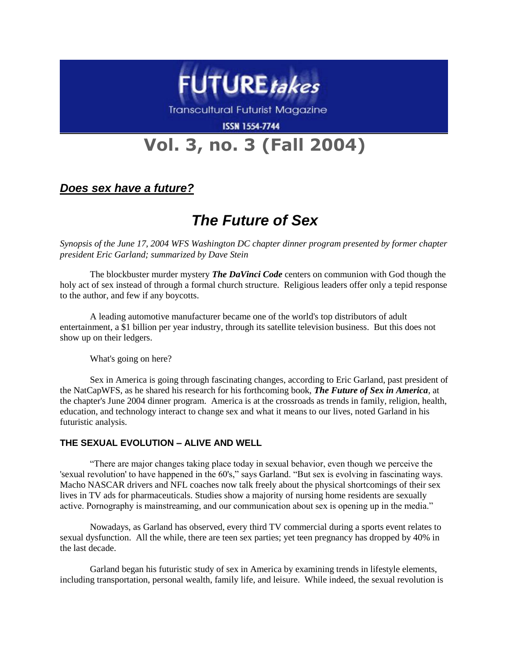

**Transcultural Futurist Magazine** 

**ISSN 1554-7744** 

# **Vol. 3, no. 3 (Fall 2004)**

### *Does sex have a future?*

## *The Future of Sex*

*Synopsis of the June 17, 2004 WFS Washington DC chapter dinner program presented by former chapter president Eric Garland; summarized by Dave Stein*

The blockbuster murder mystery *The DaVinci Code* centers on communion with God though the holy act of sex instead of through a formal church structure. Religious leaders offer only a tepid response to the author, and few if any boycotts.

A leading automotive manufacturer became one of the world's top distributors of adult entertainment, a \$1 billion per year industry, through its satellite television business. But this does not show up on their ledgers.

What's going on here?

Sex in America is going through fascinating changes, according to Eric Garland, past president of the NatCapWFS, as he shared his research for his forthcoming book, *The Future of Sex in America*, at the chapter's June 2004 dinner program. America is at the crossroads as trends in family, religion, health, education, and technology interact to change sex and what it means to our lives, noted Garland in his futuristic analysis.

### **THE SEXUAL EVOLUTION – ALIVE AND WELL**

"There are major changes taking place today in sexual behavior, even though we perceive the 'sexual revolution' to have happened in the 60's," says Garland. "But sex is evolving in fascinating ways. Macho NASCAR drivers and NFL coaches now talk freely about the physical shortcomings of their sex lives in TV ads for pharmaceuticals. Studies show a majority of nursing home residents are sexually active. Pornography is mainstreaming, and our communication about sex is opening up in the media."

Nowadays, as Garland has observed, every third TV commercial during a sports event relates to sexual dysfunction. All the while, there are teen sex parties; yet teen pregnancy has dropped by 40% in the last decade.

Garland began his futuristic study of sex in America by examining trends in lifestyle elements, including transportation, personal wealth, family life, and leisure. While indeed, the sexual revolution is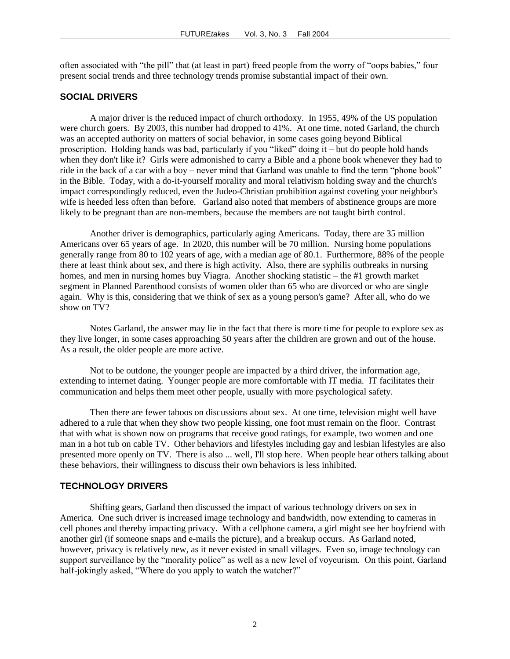often associated with "the pill" that (at least in part) freed people from the worry of "oops babies," four present social trends and three technology trends promise substantial impact of their own.

#### **SOCIAL DRIVERS**

A major driver is the reduced impact of church orthodoxy. In 1955, 49% of the US population were church goers. By 2003, this number had dropped to 41%. At one time, noted Garland, the church was an accepted authority on matters of social behavior, in some cases going beyond Biblical proscription. Holding hands was bad, particularly if you "liked" doing it – but do people hold hands when they don't like it? Girls were admonished to carry a Bible and a phone book whenever they had to ride in the back of a car with a boy – never mind that Garland was unable to find the term "phone book" in the Bible. Today, with a do-it-yourself morality and moral relativism holding sway and the church's impact correspondingly reduced, even the Judeo-Christian prohibition against coveting your neighbor's wife is heeded less often than before. Garland also noted that members of abstinence groups are more likely to be pregnant than are non-members, because the members are not taught birth control.

Another driver is demographics, particularly aging Americans. Today, there are 35 million Americans over 65 years of age. In 2020, this number will be 70 million. Nursing home populations generally range from 80 to 102 years of age, with a median age of 80.1. Furthermore, 88% of the people there at least think about sex, and there is high activity. Also, there are syphilis outbreaks in nursing homes, and men in nursing homes buy Viagra. Another shocking statistic – the #1 growth market segment in Planned Parenthood consists of women older than 65 who are divorced or who are single again. Why is this, considering that we think of sex as a young person's game? After all, who do we show on TV?

Notes Garland, the answer may lie in the fact that there is more time for people to explore sex as they live longer, in some cases approaching 50 years after the children are grown and out of the house. As a result, the older people are more active.

Not to be outdone, the younger people are impacted by a third driver, the information age, extending to internet dating. Younger people are more comfortable with IT media. IT facilitates their communication and helps them meet other people, usually with more psychological safety.

Then there are fewer taboos on discussions about sex. At one time, television might well have adhered to a rule that when they show two people kissing, one foot must remain on the floor. Contrast that with what is shown now on programs that receive good ratings, for example, two women and one man in a hot tub on cable TV. Other behaviors and lifestyles including gay and lesbian lifestyles are also presented more openly on TV. There is also ... well, I'll stop here. When people hear others talking about these behaviors, their willingness to discuss their own behaviors is less inhibited.

### **TECHNOLOGY DRIVERS**

Shifting gears, Garland then discussed the impact of various technology drivers on sex in America. One such driver is increased image technology and bandwidth, now extending to cameras in cell phones and thereby impacting privacy. With a cellphone camera, a girl might see her boyfriend with another girl (if someone snaps and e-mails the picture), and a breakup occurs. As Garland noted, however, privacy is relatively new, as it never existed in small villages. Even so, image technology can support surveillance by the "morality police" as well as a new level of voyeurism. On this point, Garland half-jokingly asked, "Where do you apply to watch the watcher?"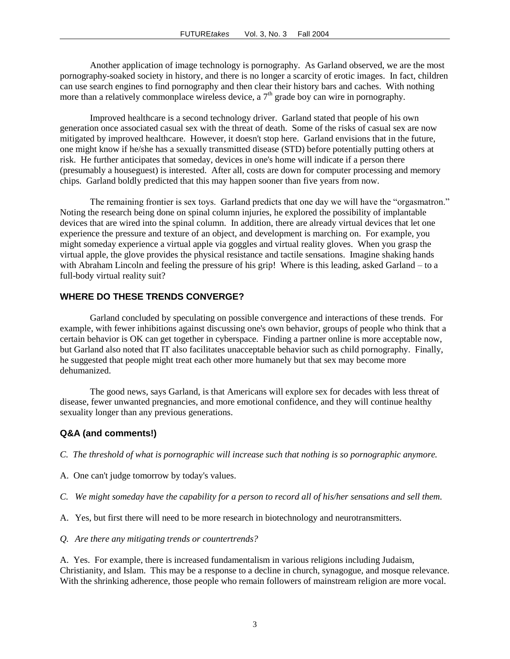Another application of image technology is pornography. As Garland observed, we are the most pornography-soaked society in history, and there is no longer a scarcity of erotic images. In fact, children can use search engines to find pornography and then clear their history bars and caches. With nothing more than a relatively commonplace wireless device, a  $7<sup>th</sup>$  grade boy can wire in pornography.

Improved healthcare is a second technology driver. Garland stated that people of his own generation once associated casual sex with the threat of death. Some of the risks of casual sex are now mitigated by improved healthcare. However, it doesn't stop here. Garland envisions that in the future, one might know if he/she has a sexually transmitted disease (STD) before potentially putting others at risk. He further anticipates that someday, devices in one's home will indicate if a person there (presumably a houseguest) is interested. After all, costs are down for computer processing and memory chips. Garland boldly predicted that this may happen sooner than five years from now.

The remaining frontier is sex toys. Garland predicts that one day we will have the "orgasmatron." Noting the research being done on spinal column injuries, he explored the possibility of implantable devices that are wired into the spinal column. In addition, there are already virtual devices that let one experience the pressure and texture of an object, and development is marching on. For example, you might someday experience a virtual apple via goggles and virtual reality gloves. When you grasp the virtual apple, the glove provides the physical resistance and tactile sensations. Imagine shaking hands with Abraham Lincoln and feeling the pressure of his grip! Where is this leading, asked Garland – to a full-body virtual reality suit?

### **WHERE DO THESE TRENDS CONVERGE?**

Garland concluded by speculating on possible convergence and interactions of these trends. For example, with fewer inhibitions against discussing one's own behavior, groups of people who think that a certain behavior is OK can get together in cyberspace. Finding a partner online is more acceptable now, but Garland also noted that IT also facilitates unacceptable behavior such as child pornography. Finally, he suggested that people might treat each other more humanely but that sex may become more dehumanized.

The good news, says Garland, is that Americans will explore sex for decades with less threat of disease, fewer unwanted pregnancies, and more emotional confidence, and they will continue healthy sexuality longer than any previous generations.

### **Q&A (and comments!)**

*C. The threshold of what is pornographic will increase such that nothing is so pornographic anymore.*

- A. One can't judge tomorrow by today's values.
- *C. We might someday have the capability for a person to record all of his/her sensations and sell them.*
- A. Yes, but first there will need to be more research in biotechnology and neurotransmitters.
- *Q. Are there any mitigating trends or countertrends?*

A. Yes. For example, there is increased fundamentalism in various religions including Judaism, Christianity, and Islam. This may be a response to a decline in church, synagogue, and mosque relevance. With the shrinking adherence, those people who remain followers of mainstream religion are more vocal.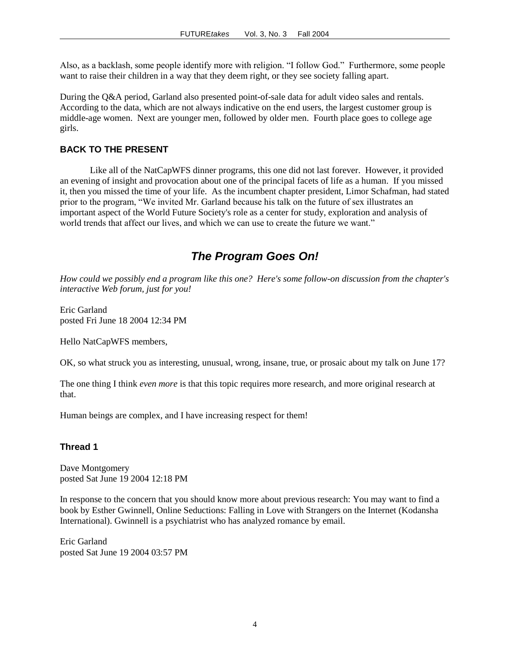Also, as a backlash, some people identify more with religion. "I follow God." Furthermore, some people want to raise their children in a way that they deem right, or they see society falling apart.

During the Q&A period, Garland also presented point-of-sale data for adult video sales and rentals. According to the data, which are not always indicative on the end users, the largest customer group is middle-age women. Next are younger men, followed by older men. Fourth place goes to college age girls.

### **BACK TO THE PRESENT**

Like all of the NatCapWFS dinner programs, this one did not last forever. However, it provided an evening of insight and provocation about one of the principal facets of life as a human. If you missed it, then you missed the time of your life. As the incumbent chapter president, Limor Schafman, had stated prior to the program, "We invited Mr. Garland because his talk on the future of sex illustrates an important aspect of the World Future Society's role as a center for study, exploration and analysis of world trends that affect our lives, and which we can use to create the future we want."

### *The Program Goes On!*

*How could we possibly end a program like this one? Here's some follow-on discussion from the chapter's interactive Web forum, just for you!*

Eric [Garland](javascript:void(0)) posted Fri June 18 2004 12:34 PM

Hello NatCapWFS members,

OK, so what struck you as interesting, unusual, wrong, insane, true, or prosaic about my talk on June 17?

The one thing I think *even more* is that this topic requires more research, and more original research at that.

Human beings are complex, and I have increasing respect for them!

### **Thread 1**

Dave Montgomery posted Sat June 19 2004 12:18 PM

In response to the concern that you should know more about previous research: You may want to find a book by Esther Gwinnell, Online Seductions: Falling in Love with Strangers on the Internet (Kodansha International). Gwinnell is a psychiatrist who has analyzed romance by email.

Eric Garland posted Sat June 19 2004 03:57 PM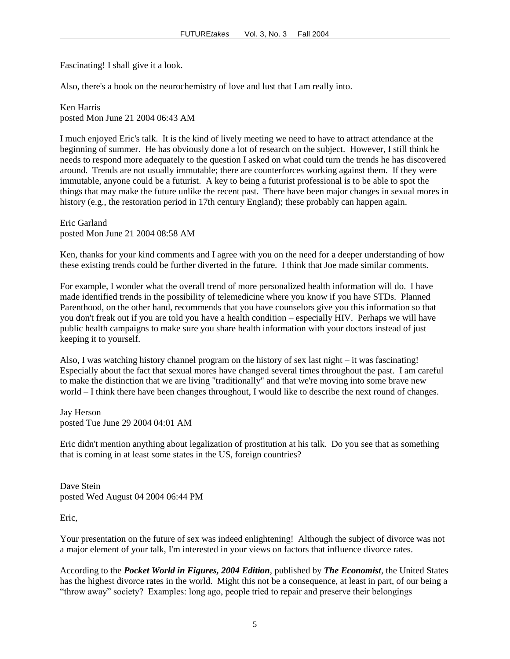Fascinating! I shall give it a look.

Also, there's a book on the neurochemistry of love and lust that I am really into.

[Ken Harris](javascript:void(0)) posted Mon June 21 2004 06:43 AM

I much enjoyed Eric's talk. It is the kind of lively meeting we need to have to attract attendance at the beginning of summer. He has obviously done a lot of research on the subject. However, I still think he needs to respond more adequately to the question I asked on what could turn the trends he has discovered around. Trends are not usually immutable; there are counterforces working against them. If they were immutable, anyone could be a futurist. A key to being a futurist professional is to be able to spot the things that may make the future unlike the recent past. There have been major changes in sexual mores in history (e.g., the restoration period in 17th century England); these probably can happen again.

Eric Garland posted Mon June 21 2004 08:58 AM

Ken, thanks for your kind comments and I agree with you on the need for a deeper understanding of how these existing trends could be further diverted in the future. I think that Joe made similar comments.

For example, I wonder what the overall trend of more personalized health information will do. I have made identified trends in the possibility of telemedicine where you know if you have STDs. Planned Parenthood, on the other hand, recommends that you have counselors give you this information so that you don't freak out if you are told you have a health condition – especially HIV. Perhaps we will have public health campaigns to make sure you share health information with your doctors instead of just keeping it to yourself.

Also, I was watching history channel program on the history of sex last night – it was fascinating! Especially about the fact that sexual mores have changed several times throughout the past. I am careful to make the distinction that we are living "traditionally" and that we're moving into some brave new world – I think there have been changes throughout, I would like to describe the next round of changes.

Jay Herson posted Tue June 29 2004 04:01 AM

Eric didn't mention anything about legalization of prostitution at his talk. Do you see that as something that is coming in at least some states in the US, foreign countries?

Dave Stein posted Wed August 04 2004 06:44 PM

Eric,

Your presentation on the future of sex was indeed enlightening! Although the subject of divorce was not a major element of your talk, I'm interested in your views on factors that influence divorce rates.

According to the *Pocket World in Figures, 2004 Edition*, published by *The Economist*, the United States has the highest divorce rates in the world. Might this not be a consequence, at least in part, of our being a "throw away" society? Examples: long ago, people tried to repair and preserve their belongings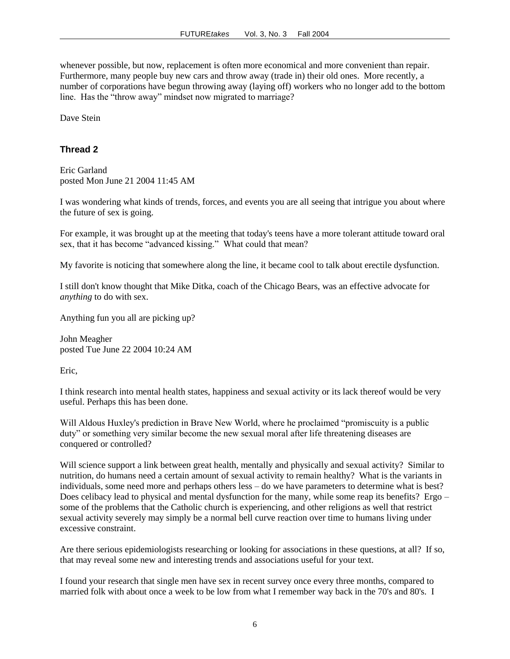whenever possible, but now, replacement is often more economical and more convenient than repair. Furthermore, many people buy new cars and throw away (trade in) their old ones. More recently, a number of corporations have begun throwing away (laying off) workers who no longer add to the bottom line. Has the "throw away" mindset now migrated to marriage?

Dave Stein

### **Thread 2**

Eric Garland posted Mon June 21 2004 11:45 AM

I was wondering what kinds of trends, forces, and events you are all seeing that intrigue you about where the future of sex is going.

For example, it was brought up at the meeting that today's teens have a more tolerant attitude toward oral sex, that it has become "advanced kissing." What could that mean?

My favorite is noticing that somewhere along the line, it became cool to talk about erectile dysfunction.

I still don't know thought that Mike Ditka, coach of the Chicago Bears, was an effective advocate for *anything* to do with sex.

Anything fun you all are picking up?

John Meagher posted Tue June 22 2004 10:24 AM

Eric,

I think research into mental health states, happiness and sexual activity or its lack thereof would be very useful. Perhaps this has been done.

Will Aldous Huxley's prediction in Brave New World, where he proclaimed "promiscuity is a public duty" or something very similar become the new sexual moral after life threatening diseases are conquered or controlled?

Will science support a link between great health, mentally and physically and sexual activity? Similar to nutrition, do humans need a certain amount of sexual activity to remain healthy? What is the variants in individuals, some need more and perhaps others less – do we have parameters to determine what is best? Does celibacy lead to physical and mental dysfunction for the many, while some reap its benefits? Ergo – some of the problems that the Catholic church is experiencing, and other religions as well that restrict sexual activity severely may simply be a normal bell curve reaction over time to humans living under excessive constraint.

Are there serious epidemiologists researching or looking for associations in these questions, at all? If so, that may reveal some new and interesting trends and associations useful for your text.

I found your research that single men have sex in recent survey once every three months, compared to married folk with about once a week to be low from what I remember way back in the 70's and 80's. I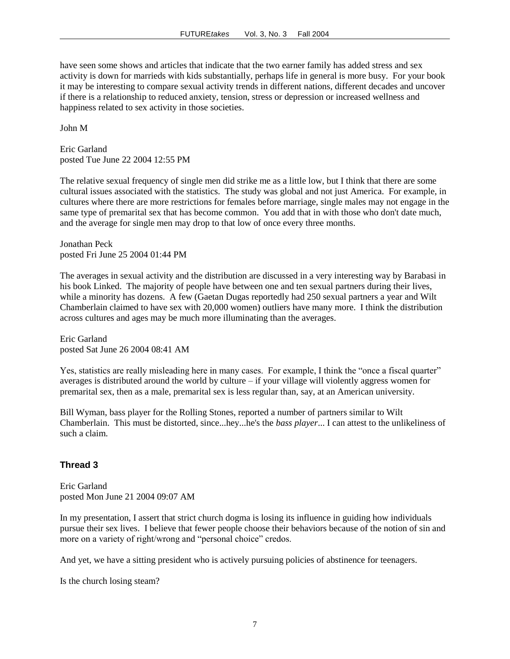have seen some shows and articles that indicate that the two earner family has added stress and sex activity is down for marrieds with kids substantially, perhaps life in general is more busy. For your book it may be interesting to compare sexual activity trends in different nations, different decades and uncover if there is a relationship to reduced anxiety, tension, stress or depression or increased wellness and happiness related to sex activity in those societies.

John M

Eric Garland posted Tue June 22 2004 12:55 PM

The relative sexual frequency of single men did strike me as a little low, but I think that there are some cultural issues associated with the statistics. The study was global and not just America. For example, in cultures where there are more restrictions for females before marriage, single males may not engage in the same type of premarital sex that has become common. You add that in with those who don't date much, and the average for single men may drop to that low of once every three months.

Jonathan Peck posted Fri June 25 2004 01:44 PM

The averages in sexual activity and the distribution are discussed in a very interesting way by Barabasi in his book Linked. The majority of people have between one and ten sexual partners during their lives, while a minority has dozens. A few (Gaetan Dugas reportedly had 250 sexual partners a year and Wilt Chamberlain claimed to have sex with 20,000 women) outliers have many more. I think the distribution across cultures and ages may be much more illuminating than the averages.

Eric Garland posted Sat June 26 2004 08:41 AM

Yes, statistics are really misleading here in many cases. For example, I think the "once a fiscal quarter" averages is distributed around the world by culture  $-i$  f your village will violently aggress women for premarital sex, then as a male, premarital sex is less regular than, say, at an American university.

Bill Wyman, bass player for the Rolling Stones, reported a number of partners similar to Wilt Chamberlain. This must be distorted, since...hey...he's the *bass player*... I can attest to the unlikeliness of such a claim.

### **Thread 3**

Eric Garland posted Mon June 21 2004 09:07 AM

In my presentation, I assert that strict church dogma is losing its influence in guiding how individuals pursue their sex lives. I believe that fewer people choose their behaviors because of the notion of sin and more on a variety of right/wrong and "personal choice" credos.

And yet, we have a sitting president who is actively pursuing policies of abstinence for teenagers.

Is the church losing steam?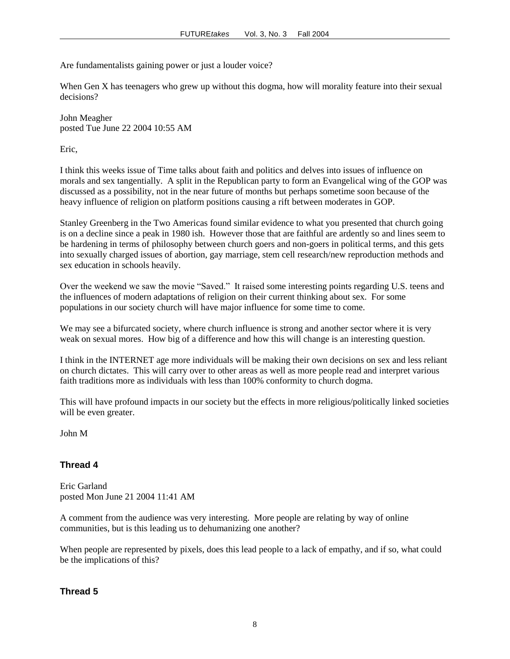Are fundamentalists gaining power or just a louder voice?

When Gen X has teenagers who grew up without this dogma, how will morality feature into their sexual decisions?

John Meagher posted Tue June 22 2004 10:55 AM

Eric,

I think this weeks issue of Time talks about faith and politics and delves into issues of influence on morals and sex tangentially. A split in the Republican party to form an Evangelical wing of the GOP was discussed as a possibility, not in the near future of months but perhaps sometime soon because of the heavy influence of religion on platform positions causing a rift between moderates in GOP.

Stanley Greenberg in the Two Americas found similar evidence to what you presented that church going is on a decline since a peak in 1980 ish. However those that are faithful are ardently so and lines seem to be hardening in terms of philosophy between church goers and non-goers in political terms, and this gets into sexually charged issues of abortion, gay marriage, stem cell research/new reproduction methods and sex education in schools heavily.

Over the weekend we saw the movie "Saved." It raised some interesting points regarding U.S. teens and the influences of modern adaptations of religion on their current thinking about sex. For some populations in our society church will have major influence for some time to come.

We may see a bifurcated society, where church influence is strong and another sector where it is very weak on sexual mores. How big of a difference and how this will change is an interesting question.

I think in the INTERNET age more individuals will be making their own decisions on sex and less reliant on church dictates. This will carry over to other areas as well as more people read and interpret various faith traditions more as individuals with less than 100% conformity to church dogma.

This will have profound impacts in our society but the effects in more religious/politically linked societies will be even greater.

John M

### **Thread 4**

Eric Garland posted Mon June 21 2004 11:41 AM

A comment from the audience was very interesting. More people are relating by way of online communities, but is this leading us to dehumanizing one another?

When people are represented by pixels, does this lead people to a lack of empathy, and if so, what could be the implications of this?

**Thread 5**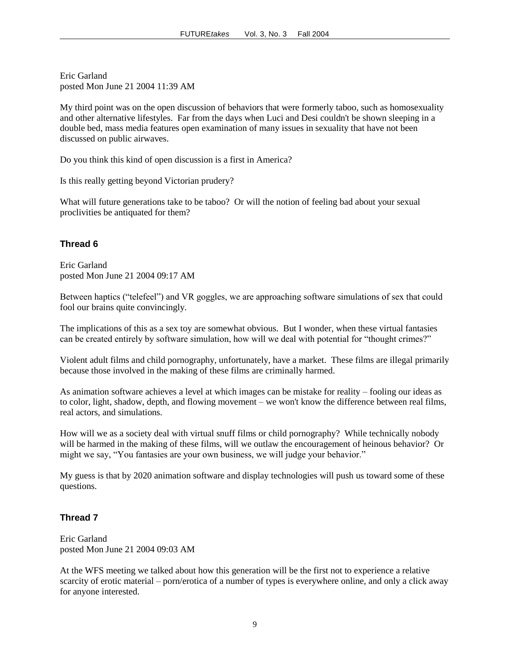Eric Garland posted Mon June 21 2004 11:39 AM

My third point was on the open discussion of behaviors that were formerly taboo, such as homosexuality and other alternative lifestyles. Far from the days when Luci and Desi couldn't be shown sleeping in a double bed, mass media features open examination of many issues in sexuality that have not been discussed on public airwaves.

Do you think this kind of open discussion is a first in America?

Is this really getting beyond Victorian prudery?

What will future generations take to be taboo? Or will the notion of feeling bad about your sexual proclivities be antiquated for them?

### **Thread 6**

Eric Garland posted Mon June 21 2004 09:17 AM

Between haptics ("telefeel") and VR goggles, we are approaching software simulations of sex that could fool our brains quite convincingly.

The implications of this as a sex toy are somewhat obvious. But I wonder, when these virtual fantasies can be created entirely by software simulation, how will we deal with potential for "thought crimes?"

Violent adult films and child pornography, unfortunately, have a market. These films are illegal primarily because those involved in the making of these films are criminally harmed.

As animation software achieves a level at which images can be mistake for reality – fooling our ideas as to color, light, shadow, depth, and flowing movement – we won't know the difference between real films, real actors, and simulations.

How will we as a society deal with virtual snuff films or child pornography? While technically nobody will be harmed in the making of these films, will we outlaw the encouragement of heinous behavior? Or might we say, "You fantasies are your own business, we will judge your behavior."

My guess is that by 2020 animation software and display technologies will push us toward some of these questions.

### **Thread 7**

Eric Garland posted Mon June 21 2004 09:03 AM

At the WFS meeting we talked about how this generation will be the first not to experience a relative scarcity of erotic material – porn/erotica of a number of types is everywhere online, and only a click away for anyone interested.